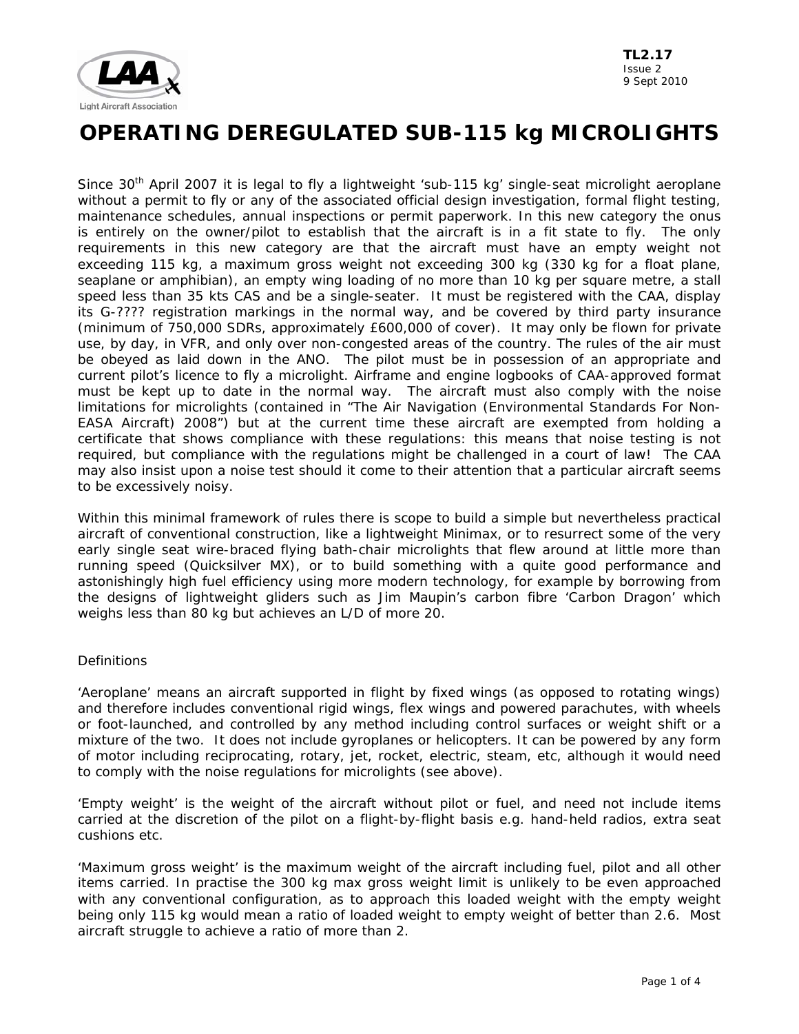

Since 30<sup>th</sup> April 2007 it is legal to fly a lightweight 'sub-115 kg' single-seat microlight aeroplane without a permit to fly or any of the associated official design investigation, formal flight testing, maintenance schedules, annual inspections or permit paperwork. In this new category the onus is entirely on the owner/pilot to establish that the aircraft is in a fit state to fly. The only requirements in this new category are that the aircraft must have an empty weight not exceeding 115 kg, a maximum gross weight not exceeding 300 kg (330 kg for a float plane, seaplane or amphibian), an empty wing loading of no more than 10 kg per square metre, a stall speed less than 35 kts CAS and be a single-seater. It must be registered with the CAA, display its G-???? registration markings in the normal way, and be covered by third party insurance (minimum of 750,000 SDRs, approximately £600,000 of cover). It may only be flown for private use, by day, in VFR, and only over non-congested areas of the country. The rules of the air must be obeyed as laid down in the ANO. The pilot must be in possession of an appropriate and current pilot's licence to fly a microlight. Airframe and engine logbooks of CAA-approved format must be kept up to date in the normal way. The aircraft must also comply with the noise limitations for microlights (contained in "The Air Navigation (Environmental Standards For Non-EASA Aircraft) 2008") but at the current time these aircraft are exempted from holding a certificate that shows compliance with these regulations: this means that noise testing is not required, but compliance with the regulations might be challenged in a court of law! The CAA may also insist upon a noise test should it come to their attention that a particular aircraft seems to be excessively noisy.

Within this minimal framework of rules there is scope to build a simple but nevertheless practical aircraft of conventional construction, like a lightweight Minimax, or to resurrect some of the very early single seat wire-braced flying bath-chair microlights that flew around at little more than running speed (Quicksilver MX), or to build something with a quite good performance and astonishingly high fuel efficiency using more modern technology, for example by borrowing from the designs of lightweight gliders such as Jim Maupin's carbon fibre 'Carbon Dragon' which weighs less than 80 kg but achieves an L/D of more 20.

### **Definitions**

'Aeroplane' means an aircraft supported in flight by fixed wings (as opposed to rotating wings) and therefore includes conventional rigid wings, flex wings and powered parachutes, with wheels or foot-launched, and controlled by any method including control surfaces or weight shift or a mixture of the two. It does not include gyroplanes or helicopters. It can be powered by any form of motor including reciprocating, rotary, jet, rocket, electric, steam, etc, although it would need to comply with the noise regulations for microlights (see above).

'Empty weight' is the weight of the aircraft without pilot or fuel, and need not include items carried at the discretion of the pilot on a flight-by-flight basis e.g. hand-held radios, extra seat cushions etc.

'Maximum gross weight' is the maximum weight of the aircraft including fuel, pilot and all other items carried. In practise the 300 kg max gross weight limit is unlikely to be even approached with any conventional configuration, as to approach this loaded weight with the empty weight being only 115 kg would mean a ratio of loaded weight to empty weight of better than 2.6. Most aircraft struggle to achieve a ratio of more than 2.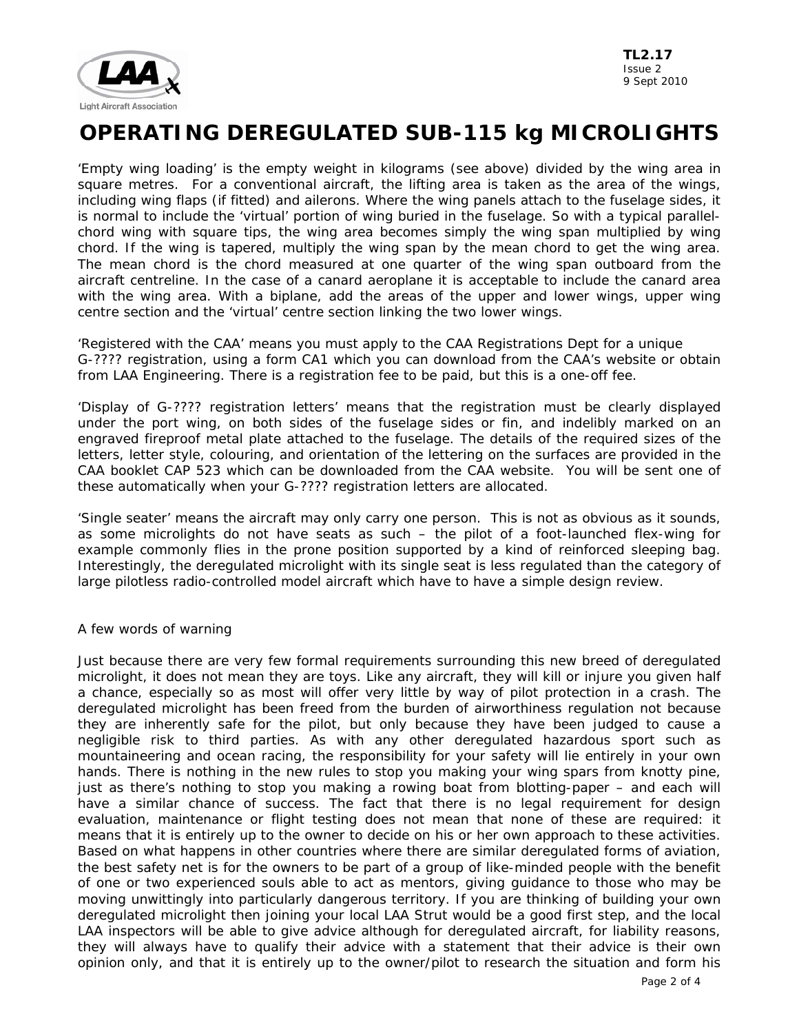

'Empty wing loading' is the empty weight in kilograms (see above) divided by the wing area in square metres. For a conventional aircraft, the lifting area is taken as the area of the wings, including wing flaps (if fitted) and ailerons. Where the wing panels attach to the fuselage sides, it is normal to include the 'virtual' portion of wing buried in the fuselage. So with a typical parallelchord wing with square tips, the wing area becomes simply the wing span multiplied by wing chord. If the wing is tapered, multiply the wing span by the mean chord to get the wing area. The mean chord is the chord measured at one quarter of the wing span outboard from the aircraft centreline. In the case of a canard aeroplane it is acceptable to include the canard area with the wing area. With a biplane, add the areas of the upper and lower wings, upper wing centre section and the 'virtual' centre section linking the two lower wings.

'Registered with the CAA' means you must apply to the CAA Registrations Dept for a unique G-???? registration, using a form CA1 which you can download from the CAA's website or obtain from LAA Engineering. There is a registration fee to be paid, but this is a one-off fee.

'Display of G-???? registration letters' means that the registration must be clearly displayed under the port wing, on both sides of the fuselage sides or fin, and indelibly marked on an engraved fireproof metal plate attached to the fuselage. The details of the required sizes of the letters, letter style, colouring, and orientation of the lettering on the surfaces are provided in the CAA booklet CAP 523 which can be downloaded from the CAA website. You will be sent one of these automatically when your G-???? registration letters are allocated.

'Single seater' means the aircraft may only carry one person. This is not as obvious as it sounds, as some microlights do not have seats as such – the pilot of a foot-launched flex-wing for example commonly flies in the prone position supported by a kind of reinforced sleeping bag. Interestingly, the deregulated microlight with its single seat is less regulated than the category of large pilotless radio-controlled model aircraft which have to have a simple design review.

### A few words of warning

Just because there are very few formal requirements surrounding this new breed of deregulated microlight, it does not mean they are toys. Like any aircraft, they will kill or injure you given half a chance, especially so as most will offer very little by way of pilot protection in a crash. The deregulated microlight has been freed from the burden of airworthiness regulation not because they are inherently safe for the pilot, but only because they have been judged to cause a negligible risk to third parties. As with any other deregulated hazardous sport such as mountaineering and ocean racing, the responsibility for your safety will lie entirely in your own hands. There is nothing in the new rules to stop you making your wing spars from knotty pine, just as there's nothing to stop you making a rowing boat from blotting-paper – and each will have a similar chance of success. The fact that there is no legal requirement for design evaluation, maintenance or flight testing does not mean that none of these are required: it means that it is entirely up to the owner to decide on his or her own approach to these activities. Based on what happens in other countries where there are similar deregulated forms of aviation, the best safety net is for the owners to be part of a group of like-minded people with the benefit of one or two experienced souls able to act as mentors, giving guidance to those who may be moving unwittingly into particularly dangerous territory. If you are thinking of building your own deregulated microlight then joining your local LAA Strut would be a good first step, and the local LAA inspectors will be able to give advice although for deregulated aircraft, for liability reasons, they will always have to qualify their advice with a statement that their advice is their own opinion only, and that it is entirely up to the owner/pilot to research the situation and form his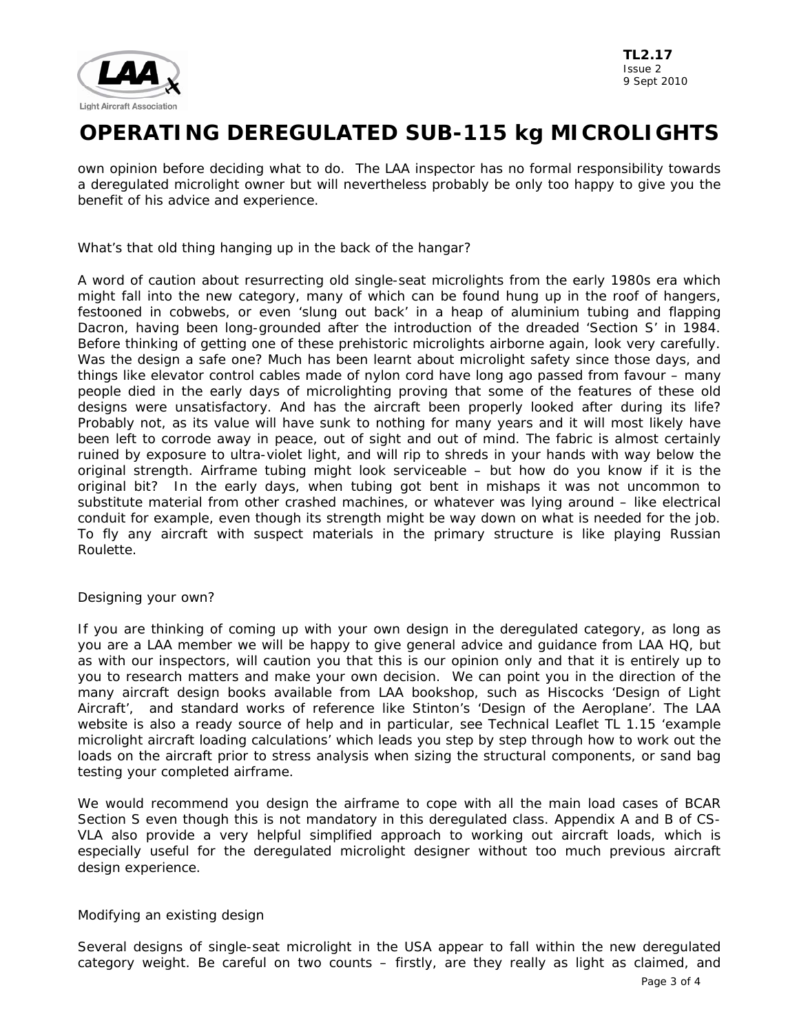

own opinion before deciding what to do. The LAA inspector has no formal responsibility towards a deregulated microlight owner but will nevertheless probably be only too happy to give you the benefit of his advice and experience.

What's that old thing hanging up in the back of the hangar?

A word of caution about resurrecting old single-seat microlights from the early 1980s era which might fall into the new category, many of which can be found hung up in the roof of hangers, festooned in cobwebs, or even 'slung out back' in a heap of aluminium tubing and flapping Dacron, having been long-grounded after the introduction of the dreaded 'Section S' in 1984. Before thinking of getting one of these prehistoric microlights airborne again, look very carefully. Was the design a safe one? Much has been learnt about microlight safety since those days, and things like elevator control cables made of nylon cord have long ago passed from favour – many people died in the early days of microlighting proving that some of the features of these old designs were unsatisfactory. And has the aircraft been properly looked after during its life? Probably not, as its value will have sunk to nothing for many years and it will most likely have been left to corrode away in peace, out of sight and out of mind. The fabric is almost certainly ruined by exposure to ultra-violet light, and will rip to shreds in your hands with way below the original strength. Airframe tubing might look serviceable – but how do you know if it is the original bit? In the early days, when tubing got bent in mishaps it was not uncommon to substitute material from other crashed machines, or whatever was lying around – like electrical conduit for example, even though its strength might be way down on what is needed for the job. To fly any aircraft with suspect materials in the primary structure is like playing Russian Roulette.

### Designing your own?

If you are thinking of coming up with your own design in the deregulated category, as long as you are a LAA member we will be happy to give general advice and guidance from LAA HQ, but as with our inspectors, will caution you that this is our opinion only and that it is entirely up to you to research matters and make your own decision. We can point you in the direction of the many aircraft design books available from LAA bookshop, such as Hiscocks 'Design of Light Aircraft', and standard works of reference like Stinton's 'Design of the Aeroplane'. The LAA website is also a ready source of help and in particular, see Technical Leaflet TL 1.15 'example microlight aircraft loading calculations' which leads you step by step through how to work out the loads on the aircraft prior to stress analysis when sizing the structural components, or sand bag testing your completed airframe.

We would recommend you design the airframe to cope with all the main load cases of BCAR Section S even though this is not mandatory in this deregulated class. Appendix A and B of CS-VLA also provide a very helpful simplified approach to working out aircraft loads, which is especially useful for the deregulated microlight designer without too much previous aircraft design experience.

#### Modifying an existing design

Several designs of single-seat microlight in the USA appear to fall within the new deregulated category weight. Be careful on two counts – firstly, are they really as light as claimed, and